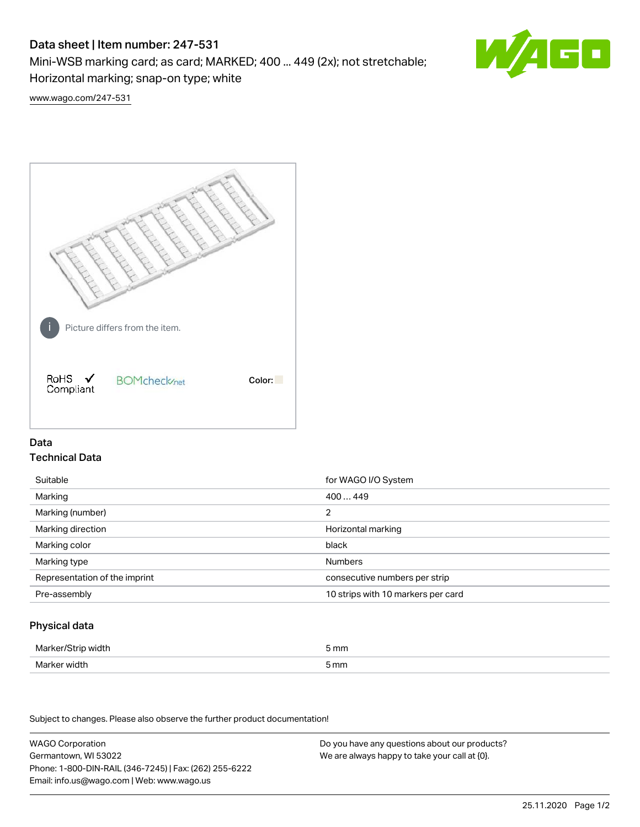# Data sheet | Item number: 247-531

Mini-WSB marking card; as card; MARKED; 400 ... 449 (2x); not stretchable;

Horizontal marking; snap-on type; white



[www.wago.com/247-531](http://www.wago.com/247-531)



## Data Technical Data

| Suitable                      | for WAGO I/O System                |
|-------------------------------|------------------------------------|
| Marking                       | 400449                             |
| Marking (number)              | 2                                  |
| Marking direction             | Horizontal marking                 |
| Marking color                 | black                              |
| Marking type                  | <b>Numbers</b>                     |
| Representation of the imprint | consecutive numbers per strip      |
| Pre-assembly                  | 10 strips with 10 markers per card |

## Physical data

| Marker/Strip width | 5 mm |
|--------------------|------|
| Marker width       | 5 mm |

Subject to changes. Please also observe the further product documentation!

WAGO Corporation Germantown, WI 53022 Phone: 1-800-DIN-RAIL (346-7245) | Fax: (262) 255-6222 Email: info.us@wago.com | Web: www.wago.us Do you have any questions about our products? We are always happy to take your call at {0}.